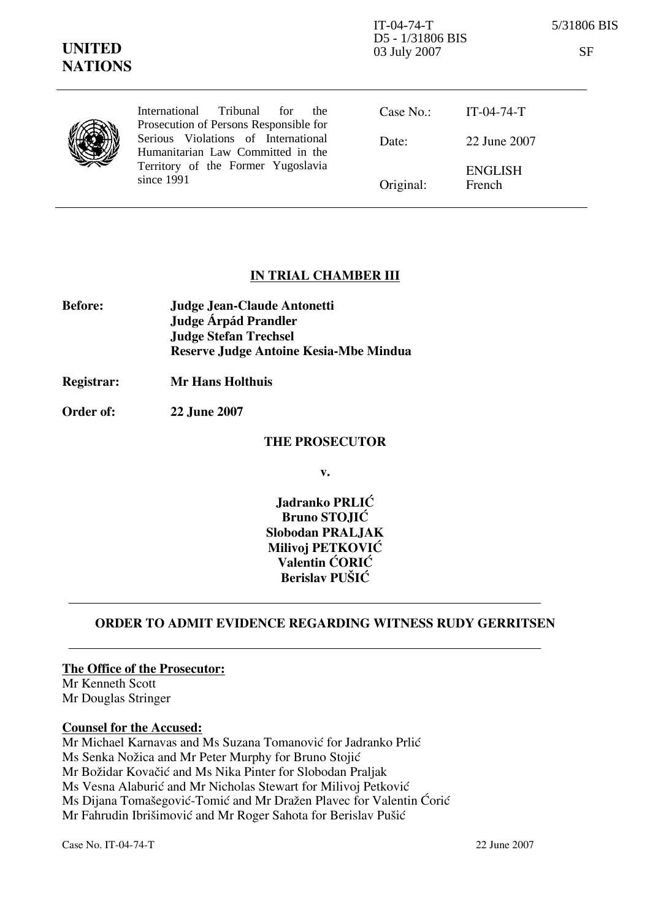IT-04-74-T 5/31806 BIS D5 - 1/31806 BIS 03 July 2007 SF

| ×<br>15<br>۰,<br>٩ |  |
|--------------------|--|

| International Tribunal for<br>the<br>Prosecution of Persons Responsible for | Case $No.$ : | IT-04-74-T               |
|-----------------------------------------------------------------------------|--------------|--------------------------|
| Serious Violations of International<br>Humanitarian Law Committed in the    | Date:        | 22 June 2007             |
| Territory of the Former Yugoslavia<br>since 1991                            | Original:    | <b>ENGLISH</b><br>French |

#### IN TRIAL CHAMBER III

| <b>Before:</b> | Judge Jean-Claude Antonetti            |
|----------------|----------------------------------------|
|                | Judge Árpád Prandler                   |
|                | <b>Judge Stefan Trechsel</b>           |
|                | Reserve Judge Antoine Kesia-Mbe Mindua |

Registrar: Mr Hans Holthuis

Order of: 22 June 2007

#### THE PROSECUTOR

v.

Jadranko PRLIĆ Bruno STOJIĆ Slobodan PRALJAK Milivoj PETKOVIĆ Valentin CORIC Berislav PUŠIĆ

### ORDER TO ADMIT EVIDENCE REGARDING WITNESS RUDY GERRITSEN

The Office of the Prosecutor: Mr Kenneth Scott

Mr Douglas Stringer

### Counsel for the Accused:

Mr Michael Karnavas and Ms Suzana Tomanović for Jadranko Prlić Ms Senka Nožica and Mr Peter Murphy for Bruno Stojić Mr Božidar Kovačić and Ms Nika Pinter for Slobodan Praljak Ms Vesna Alaburić and Mr Nicholas Stewart for Milivoj Petković Ms Dijana Tomašegović-Tomić and Mr Dražen Plavec for Valentin Ćorić Mr Fahrudin Ibrišimović and Mr Roger Sahota for Berislav Pušić

Case No. IT-04-74-T 22 June 2007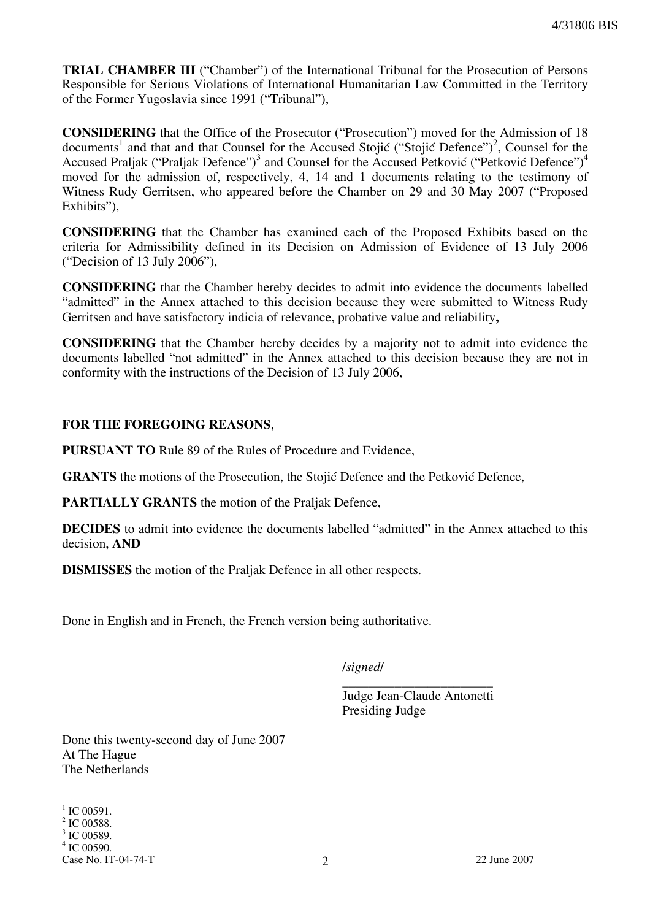TRIAL CHAMBER III ("Chamber") of the International Tribunal for the Prosecution of Persons Responsible for Serious Violations of International Humanitarian Law Committed in the Territory of the Former Yugoslavia since 1991 ("Tribunal"),

CONSIDERING that the Office of the Prosecutor ("Prosecution") moved for the Admission of 18 documents<sup>1</sup> and that and that Counsel for the Accused Stojić ("Stojić Defence")<sup>2</sup>, Counsel for the Accused Praljak ("Praljak Defence")<sup>3</sup> and Counsel for the Accused Petković ("Petković Defence")<sup>4</sup> moved for the admission of, respectively, 4, 14 and 1 documents relating to the testimony of Witness Rudy Gerritsen, who appeared before the Chamber on 29 and 30 May 2007 ("Proposed Exhibits"),

CONSIDERING that the Chamber has examined each of the Proposed Exhibits based on the criteria for Admissibility defined in its Decision on Admission of Evidence of 13 July 2006 ("Decision of 13 July 2006"),

CONSIDERING that the Chamber hereby decides to admit into evidence the documents labelled "admitted" in the Annex attached to this decision because they were submitted to Witness Rudy Gerritsen and have satisfactory indicia of relevance, probative value and reliability,

CONSIDERING that the Chamber hereby decides by a majority not to admit into evidence the documents labelled "not admitted" in the Annex attached to this decision because they are not in conformity with the instructions of the Decision of 13 July 2006,

#### FOR THE FOREGOING REASONS,

PURSUANT TO Rule 89 of the Rules of Procedure and Evidence,

**GRANTS** the motions of the Prosecution, the Stojić Defence and the Petković Defence,

PARTIALLY GRANTS the motion of the Praljak Defence,

DECIDES to admit into evidence the documents labelled "admitted" in the Annex attached to this decision, AND

DISMISSES the motion of the Praljak Defence in all other respects.

Done in English and in French, the French version being authoritative.

/signed/

\_\_\_\_\_\_\_\_\_\_\_\_\_\_\_\_\_\_\_\_\_\_\_ Judge Jean-Claude Antonetti Presiding Judge

Done this twenty-second day of June 2007 At The Hague The Netherlands

 $\overline{a}$  $^{1}$  IC 00591.

Case No. IT-04-74-T 22 June 2007 <sup>2</sup> IC 00588. <sup>3</sup> IC 00589. 4 IC 00590.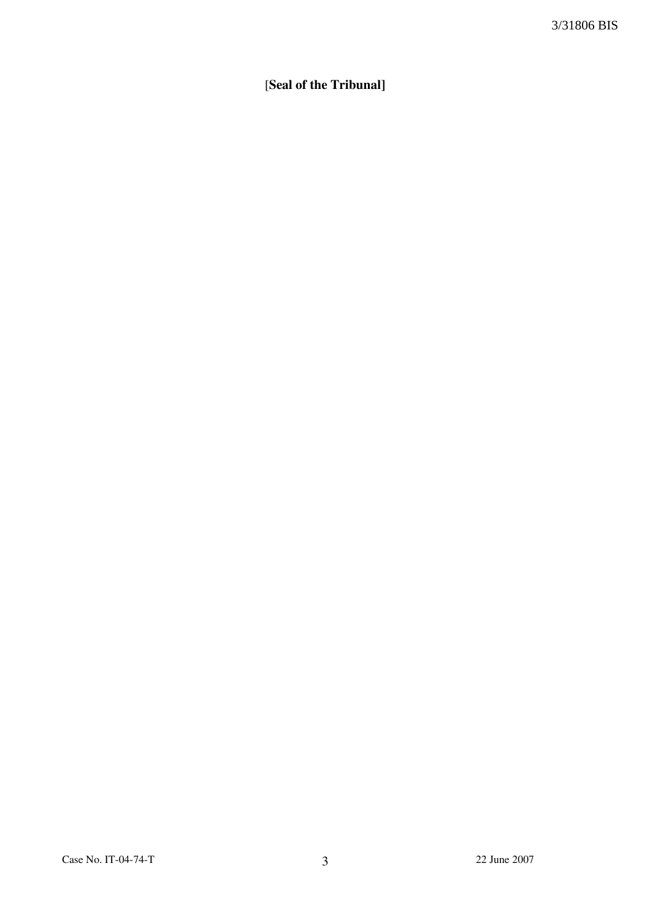# [Seal of the Tribunal]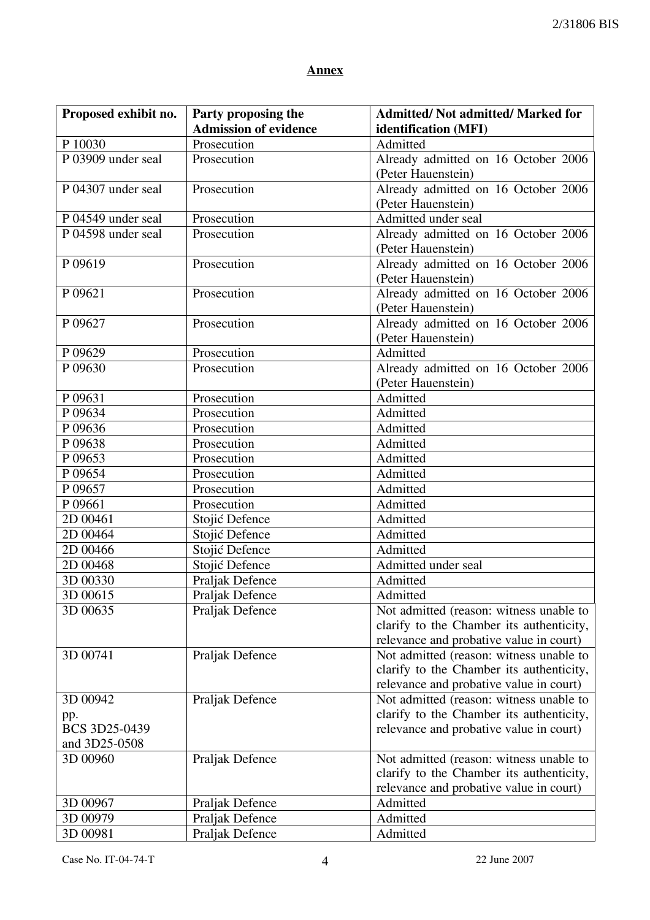## Annex

| <b>Admission of evidence</b><br>identification (MFI)<br>Prosecution<br>P 10030<br>Admitted<br>P 03909 under seal<br>Already admitted on 16 October 2006<br>Prosecution<br>(Peter Hauenstein)<br>P 04307 under seal<br>Prosecution<br>Already admitted on 16 October 2006<br>(Peter Hauenstein)<br>Admitted under seal<br>P 04549 under seal<br>Prosecution<br>P 04598 under seal<br>Prosecution<br>Already admitted on 16 October 2006<br>(Peter Hauenstein)<br>Already admitted on 16 October 2006<br>P 09619<br>Prosecution<br>(Peter Hauenstein)<br>P 09621<br>Prosecution<br>Already admitted on 16 October 2006<br>(Peter Hauenstein)<br>Prosecution<br>Already admitted on 16 October 2006<br>P 09627<br>(Peter Hauenstein)<br>Admitted<br>P 09629<br>Prosecution<br>P 09630<br>Prosecution<br>Already admitted on 16 October 2006<br>(Peter Hauenstein)<br>P 09631<br>Prosecution<br>Admitted<br>P 09634<br>Prosecution<br>Admitted<br>P 09636<br>Prosecution<br>Admitted<br>P 09638<br>Prosecution<br>Admitted<br>P 09653<br>Prosecution<br>Admitted<br>P 09654<br>Prosecution<br>Admitted<br>P 09657<br>Prosecution<br>Admitted<br>P 09661<br>Prosecution<br>Admitted<br>Admitted<br>2D 00461<br>Stojić Defence<br>2D 00464<br>Stojić Defence<br>Admitted<br>2D 00466<br>Stojić Defence<br>Admitted<br>2D 00468<br>Stojić Defence<br>Admitted under seal<br>3D 00330<br>Praljak Defence<br>Admitted<br>Praljak Defence<br>Admitted<br>3D 00615<br>3D 00635<br>Not admitted (reason: witness unable to<br>Praljak Defence<br>clarify to the Chamber its authenticity,<br>relevance and probative value in court)<br>3D 00741<br>Praljak Defence<br>Not admitted (reason: witness unable to<br>clarify to the Chamber its authenticity,<br>relevance and probative value in court)<br>3D 00942<br>Not admitted (reason: witness unable to<br>Praljak Defence<br>clarify to the Chamber its authenticity,<br>pp.<br>BCS 3D25-0439<br>relevance and probative value in court)<br>and 3D25-0508<br>Praljak Defence<br>Not admitted (reason: witness unable to<br>3D 00960<br>clarify to the Chamber its authenticity,<br>relevance and probative value in court)<br>3D 00967<br>Admitted<br>Praljak Defence<br>Admitted<br>3D 00979<br>Praljak Defence | Proposed exhibit no. | Party proposing the | <b>Admitted/ Not admitted/ Marked for</b> |
|------------------------------------------------------------------------------------------------------------------------------------------------------------------------------------------------------------------------------------------------------------------------------------------------------------------------------------------------------------------------------------------------------------------------------------------------------------------------------------------------------------------------------------------------------------------------------------------------------------------------------------------------------------------------------------------------------------------------------------------------------------------------------------------------------------------------------------------------------------------------------------------------------------------------------------------------------------------------------------------------------------------------------------------------------------------------------------------------------------------------------------------------------------------------------------------------------------------------------------------------------------------------------------------------------------------------------------------------------------------------------------------------------------------------------------------------------------------------------------------------------------------------------------------------------------------------------------------------------------------------------------------------------------------------------------------------------------------------------------------------------------------------------------------------------------------------------------------------------------------------------------------------------------------------------------------------------------------------------------------------------------------------------------------------------------------------------------------------------------------------------------------------------------------------------------------------------------------------------------------------------------|----------------------|---------------------|-------------------------------------------|
|                                                                                                                                                                                                                                                                                                                                                                                                                                                                                                                                                                                                                                                                                                                                                                                                                                                                                                                                                                                                                                                                                                                                                                                                                                                                                                                                                                                                                                                                                                                                                                                                                                                                                                                                                                                                                                                                                                                                                                                                                                                                                                                                                                                                                                                            |                      |                     |                                           |
|                                                                                                                                                                                                                                                                                                                                                                                                                                                                                                                                                                                                                                                                                                                                                                                                                                                                                                                                                                                                                                                                                                                                                                                                                                                                                                                                                                                                                                                                                                                                                                                                                                                                                                                                                                                                                                                                                                                                                                                                                                                                                                                                                                                                                                                            |                      |                     |                                           |
|                                                                                                                                                                                                                                                                                                                                                                                                                                                                                                                                                                                                                                                                                                                                                                                                                                                                                                                                                                                                                                                                                                                                                                                                                                                                                                                                                                                                                                                                                                                                                                                                                                                                                                                                                                                                                                                                                                                                                                                                                                                                                                                                                                                                                                                            |                      |                     |                                           |
|                                                                                                                                                                                                                                                                                                                                                                                                                                                                                                                                                                                                                                                                                                                                                                                                                                                                                                                                                                                                                                                                                                                                                                                                                                                                                                                                                                                                                                                                                                                                                                                                                                                                                                                                                                                                                                                                                                                                                                                                                                                                                                                                                                                                                                                            |                      |                     |                                           |
|                                                                                                                                                                                                                                                                                                                                                                                                                                                                                                                                                                                                                                                                                                                                                                                                                                                                                                                                                                                                                                                                                                                                                                                                                                                                                                                                                                                                                                                                                                                                                                                                                                                                                                                                                                                                                                                                                                                                                                                                                                                                                                                                                                                                                                                            |                      |                     |                                           |
|                                                                                                                                                                                                                                                                                                                                                                                                                                                                                                                                                                                                                                                                                                                                                                                                                                                                                                                                                                                                                                                                                                                                                                                                                                                                                                                                                                                                                                                                                                                                                                                                                                                                                                                                                                                                                                                                                                                                                                                                                                                                                                                                                                                                                                                            |                      |                     |                                           |
|                                                                                                                                                                                                                                                                                                                                                                                                                                                                                                                                                                                                                                                                                                                                                                                                                                                                                                                                                                                                                                                                                                                                                                                                                                                                                                                                                                                                                                                                                                                                                                                                                                                                                                                                                                                                                                                                                                                                                                                                                                                                                                                                                                                                                                                            |                      |                     |                                           |
|                                                                                                                                                                                                                                                                                                                                                                                                                                                                                                                                                                                                                                                                                                                                                                                                                                                                                                                                                                                                                                                                                                                                                                                                                                                                                                                                                                                                                                                                                                                                                                                                                                                                                                                                                                                                                                                                                                                                                                                                                                                                                                                                                                                                                                                            |                      |                     |                                           |
|                                                                                                                                                                                                                                                                                                                                                                                                                                                                                                                                                                                                                                                                                                                                                                                                                                                                                                                                                                                                                                                                                                                                                                                                                                                                                                                                                                                                                                                                                                                                                                                                                                                                                                                                                                                                                                                                                                                                                                                                                                                                                                                                                                                                                                                            |                      |                     |                                           |
|                                                                                                                                                                                                                                                                                                                                                                                                                                                                                                                                                                                                                                                                                                                                                                                                                                                                                                                                                                                                                                                                                                                                                                                                                                                                                                                                                                                                                                                                                                                                                                                                                                                                                                                                                                                                                                                                                                                                                                                                                                                                                                                                                                                                                                                            |                      |                     |                                           |
|                                                                                                                                                                                                                                                                                                                                                                                                                                                                                                                                                                                                                                                                                                                                                                                                                                                                                                                                                                                                                                                                                                                                                                                                                                                                                                                                                                                                                                                                                                                                                                                                                                                                                                                                                                                                                                                                                                                                                                                                                                                                                                                                                                                                                                                            |                      |                     |                                           |
|                                                                                                                                                                                                                                                                                                                                                                                                                                                                                                                                                                                                                                                                                                                                                                                                                                                                                                                                                                                                                                                                                                                                                                                                                                                                                                                                                                                                                                                                                                                                                                                                                                                                                                                                                                                                                                                                                                                                                                                                                                                                                                                                                                                                                                                            |                      |                     |                                           |
|                                                                                                                                                                                                                                                                                                                                                                                                                                                                                                                                                                                                                                                                                                                                                                                                                                                                                                                                                                                                                                                                                                                                                                                                                                                                                                                                                                                                                                                                                                                                                                                                                                                                                                                                                                                                                                                                                                                                                                                                                                                                                                                                                                                                                                                            |                      |                     |                                           |
|                                                                                                                                                                                                                                                                                                                                                                                                                                                                                                                                                                                                                                                                                                                                                                                                                                                                                                                                                                                                                                                                                                                                                                                                                                                                                                                                                                                                                                                                                                                                                                                                                                                                                                                                                                                                                                                                                                                                                                                                                                                                                                                                                                                                                                                            |                      |                     |                                           |
|                                                                                                                                                                                                                                                                                                                                                                                                                                                                                                                                                                                                                                                                                                                                                                                                                                                                                                                                                                                                                                                                                                                                                                                                                                                                                                                                                                                                                                                                                                                                                                                                                                                                                                                                                                                                                                                                                                                                                                                                                                                                                                                                                                                                                                                            |                      |                     |                                           |
|                                                                                                                                                                                                                                                                                                                                                                                                                                                                                                                                                                                                                                                                                                                                                                                                                                                                                                                                                                                                                                                                                                                                                                                                                                                                                                                                                                                                                                                                                                                                                                                                                                                                                                                                                                                                                                                                                                                                                                                                                                                                                                                                                                                                                                                            |                      |                     |                                           |
|                                                                                                                                                                                                                                                                                                                                                                                                                                                                                                                                                                                                                                                                                                                                                                                                                                                                                                                                                                                                                                                                                                                                                                                                                                                                                                                                                                                                                                                                                                                                                                                                                                                                                                                                                                                                                                                                                                                                                                                                                                                                                                                                                                                                                                                            |                      |                     |                                           |
|                                                                                                                                                                                                                                                                                                                                                                                                                                                                                                                                                                                                                                                                                                                                                                                                                                                                                                                                                                                                                                                                                                                                                                                                                                                                                                                                                                                                                                                                                                                                                                                                                                                                                                                                                                                                                                                                                                                                                                                                                                                                                                                                                                                                                                                            |                      |                     |                                           |
|                                                                                                                                                                                                                                                                                                                                                                                                                                                                                                                                                                                                                                                                                                                                                                                                                                                                                                                                                                                                                                                                                                                                                                                                                                                                                                                                                                                                                                                                                                                                                                                                                                                                                                                                                                                                                                                                                                                                                                                                                                                                                                                                                                                                                                                            |                      |                     |                                           |
|                                                                                                                                                                                                                                                                                                                                                                                                                                                                                                                                                                                                                                                                                                                                                                                                                                                                                                                                                                                                                                                                                                                                                                                                                                                                                                                                                                                                                                                                                                                                                                                                                                                                                                                                                                                                                                                                                                                                                                                                                                                                                                                                                                                                                                                            |                      |                     |                                           |
|                                                                                                                                                                                                                                                                                                                                                                                                                                                                                                                                                                                                                                                                                                                                                                                                                                                                                                                                                                                                                                                                                                                                                                                                                                                                                                                                                                                                                                                                                                                                                                                                                                                                                                                                                                                                                                                                                                                                                                                                                                                                                                                                                                                                                                                            |                      |                     |                                           |
|                                                                                                                                                                                                                                                                                                                                                                                                                                                                                                                                                                                                                                                                                                                                                                                                                                                                                                                                                                                                                                                                                                                                                                                                                                                                                                                                                                                                                                                                                                                                                                                                                                                                                                                                                                                                                                                                                                                                                                                                                                                                                                                                                                                                                                                            |                      |                     |                                           |
|                                                                                                                                                                                                                                                                                                                                                                                                                                                                                                                                                                                                                                                                                                                                                                                                                                                                                                                                                                                                                                                                                                                                                                                                                                                                                                                                                                                                                                                                                                                                                                                                                                                                                                                                                                                                                                                                                                                                                                                                                                                                                                                                                                                                                                                            |                      |                     |                                           |
|                                                                                                                                                                                                                                                                                                                                                                                                                                                                                                                                                                                                                                                                                                                                                                                                                                                                                                                                                                                                                                                                                                                                                                                                                                                                                                                                                                                                                                                                                                                                                                                                                                                                                                                                                                                                                                                                                                                                                                                                                                                                                                                                                                                                                                                            |                      |                     |                                           |
|                                                                                                                                                                                                                                                                                                                                                                                                                                                                                                                                                                                                                                                                                                                                                                                                                                                                                                                                                                                                                                                                                                                                                                                                                                                                                                                                                                                                                                                                                                                                                                                                                                                                                                                                                                                                                                                                                                                                                                                                                                                                                                                                                                                                                                                            |                      |                     |                                           |
|                                                                                                                                                                                                                                                                                                                                                                                                                                                                                                                                                                                                                                                                                                                                                                                                                                                                                                                                                                                                                                                                                                                                                                                                                                                                                                                                                                                                                                                                                                                                                                                                                                                                                                                                                                                                                                                                                                                                                                                                                                                                                                                                                                                                                                                            |                      |                     |                                           |
|                                                                                                                                                                                                                                                                                                                                                                                                                                                                                                                                                                                                                                                                                                                                                                                                                                                                                                                                                                                                                                                                                                                                                                                                                                                                                                                                                                                                                                                                                                                                                                                                                                                                                                                                                                                                                                                                                                                                                                                                                                                                                                                                                                                                                                                            |                      |                     |                                           |
|                                                                                                                                                                                                                                                                                                                                                                                                                                                                                                                                                                                                                                                                                                                                                                                                                                                                                                                                                                                                                                                                                                                                                                                                                                                                                                                                                                                                                                                                                                                                                                                                                                                                                                                                                                                                                                                                                                                                                                                                                                                                                                                                                                                                                                                            |                      |                     |                                           |
|                                                                                                                                                                                                                                                                                                                                                                                                                                                                                                                                                                                                                                                                                                                                                                                                                                                                                                                                                                                                                                                                                                                                                                                                                                                                                                                                                                                                                                                                                                                                                                                                                                                                                                                                                                                                                                                                                                                                                                                                                                                                                                                                                                                                                                                            |                      |                     |                                           |
|                                                                                                                                                                                                                                                                                                                                                                                                                                                                                                                                                                                                                                                                                                                                                                                                                                                                                                                                                                                                                                                                                                                                                                                                                                                                                                                                                                                                                                                                                                                                                                                                                                                                                                                                                                                                                                                                                                                                                                                                                                                                                                                                                                                                                                                            |                      |                     |                                           |
|                                                                                                                                                                                                                                                                                                                                                                                                                                                                                                                                                                                                                                                                                                                                                                                                                                                                                                                                                                                                                                                                                                                                                                                                                                                                                                                                                                                                                                                                                                                                                                                                                                                                                                                                                                                                                                                                                                                                                                                                                                                                                                                                                                                                                                                            |                      |                     |                                           |
|                                                                                                                                                                                                                                                                                                                                                                                                                                                                                                                                                                                                                                                                                                                                                                                                                                                                                                                                                                                                                                                                                                                                                                                                                                                                                                                                                                                                                                                                                                                                                                                                                                                                                                                                                                                                                                                                                                                                                                                                                                                                                                                                                                                                                                                            |                      |                     |                                           |
|                                                                                                                                                                                                                                                                                                                                                                                                                                                                                                                                                                                                                                                                                                                                                                                                                                                                                                                                                                                                                                                                                                                                                                                                                                                                                                                                                                                                                                                                                                                                                                                                                                                                                                                                                                                                                                                                                                                                                                                                                                                                                                                                                                                                                                                            |                      |                     |                                           |
|                                                                                                                                                                                                                                                                                                                                                                                                                                                                                                                                                                                                                                                                                                                                                                                                                                                                                                                                                                                                                                                                                                                                                                                                                                                                                                                                                                                                                                                                                                                                                                                                                                                                                                                                                                                                                                                                                                                                                                                                                                                                                                                                                                                                                                                            |                      |                     |                                           |
|                                                                                                                                                                                                                                                                                                                                                                                                                                                                                                                                                                                                                                                                                                                                                                                                                                                                                                                                                                                                                                                                                                                                                                                                                                                                                                                                                                                                                                                                                                                                                                                                                                                                                                                                                                                                                                                                                                                                                                                                                                                                                                                                                                                                                                                            |                      |                     |                                           |
|                                                                                                                                                                                                                                                                                                                                                                                                                                                                                                                                                                                                                                                                                                                                                                                                                                                                                                                                                                                                                                                                                                                                                                                                                                                                                                                                                                                                                                                                                                                                                                                                                                                                                                                                                                                                                                                                                                                                                                                                                                                                                                                                                                                                                                                            |                      |                     |                                           |
|                                                                                                                                                                                                                                                                                                                                                                                                                                                                                                                                                                                                                                                                                                                                                                                                                                                                                                                                                                                                                                                                                                                                                                                                                                                                                                                                                                                                                                                                                                                                                                                                                                                                                                                                                                                                                                                                                                                                                                                                                                                                                                                                                                                                                                                            |                      |                     |                                           |
|                                                                                                                                                                                                                                                                                                                                                                                                                                                                                                                                                                                                                                                                                                                                                                                                                                                                                                                                                                                                                                                                                                                                                                                                                                                                                                                                                                                                                                                                                                                                                                                                                                                                                                                                                                                                                                                                                                                                                                                                                                                                                                                                                                                                                                                            |                      |                     |                                           |
|                                                                                                                                                                                                                                                                                                                                                                                                                                                                                                                                                                                                                                                                                                                                                                                                                                                                                                                                                                                                                                                                                                                                                                                                                                                                                                                                                                                                                                                                                                                                                                                                                                                                                                                                                                                                                                                                                                                                                                                                                                                                                                                                                                                                                                                            |                      |                     |                                           |
|                                                                                                                                                                                                                                                                                                                                                                                                                                                                                                                                                                                                                                                                                                                                                                                                                                                                                                                                                                                                                                                                                                                                                                                                                                                                                                                                                                                                                                                                                                                                                                                                                                                                                                                                                                                                                                                                                                                                                                                                                                                                                                                                                                                                                                                            |                      |                     |                                           |
|                                                                                                                                                                                                                                                                                                                                                                                                                                                                                                                                                                                                                                                                                                                                                                                                                                                                                                                                                                                                                                                                                                                                                                                                                                                                                                                                                                                                                                                                                                                                                                                                                                                                                                                                                                                                                                                                                                                                                                                                                                                                                                                                                                                                                                                            |                      |                     |                                           |
|                                                                                                                                                                                                                                                                                                                                                                                                                                                                                                                                                                                                                                                                                                                                                                                                                                                                                                                                                                                                                                                                                                                                                                                                                                                                                                                                                                                                                                                                                                                                                                                                                                                                                                                                                                                                                                                                                                                                                                                                                                                                                                                                                                                                                                                            |                      |                     |                                           |
|                                                                                                                                                                                                                                                                                                                                                                                                                                                                                                                                                                                                                                                                                                                                                                                                                                                                                                                                                                                                                                                                                                                                                                                                                                                                                                                                                                                                                                                                                                                                                                                                                                                                                                                                                                                                                                                                                                                                                                                                                                                                                                                                                                                                                                                            |                      |                     |                                           |
|                                                                                                                                                                                                                                                                                                                                                                                                                                                                                                                                                                                                                                                                                                                                                                                                                                                                                                                                                                                                                                                                                                                                                                                                                                                                                                                                                                                                                                                                                                                                                                                                                                                                                                                                                                                                                                                                                                                                                                                                                                                                                                                                                                                                                                                            |                      |                     |                                           |
|                                                                                                                                                                                                                                                                                                                                                                                                                                                                                                                                                                                                                                                                                                                                                                                                                                                                                                                                                                                                                                                                                                                                                                                                                                                                                                                                                                                                                                                                                                                                                                                                                                                                                                                                                                                                                                                                                                                                                                                                                                                                                                                                                                                                                                                            |                      |                     |                                           |
|                                                                                                                                                                                                                                                                                                                                                                                                                                                                                                                                                                                                                                                                                                                                                                                                                                                                                                                                                                                                                                                                                                                                                                                                                                                                                                                                                                                                                                                                                                                                                                                                                                                                                                                                                                                                                                                                                                                                                                                                                                                                                                                                                                                                                                                            |                      |                     |                                           |
| 3D 00981<br>Praljak Defence<br>Admitted                                                                                                                                                                                                                                                                                                                                                                                                                                                                                                                                                                                                                                                                                                                                                                                                                                                                                                                                                                                                                                                                                                                                                                                                                                                                                                                                                                                                                                                                                                                                                                                                                                                                                                                                                                                                                                                                                                                                                                                                                                                                                                                                                                                                                    |                      |                     |                                           |